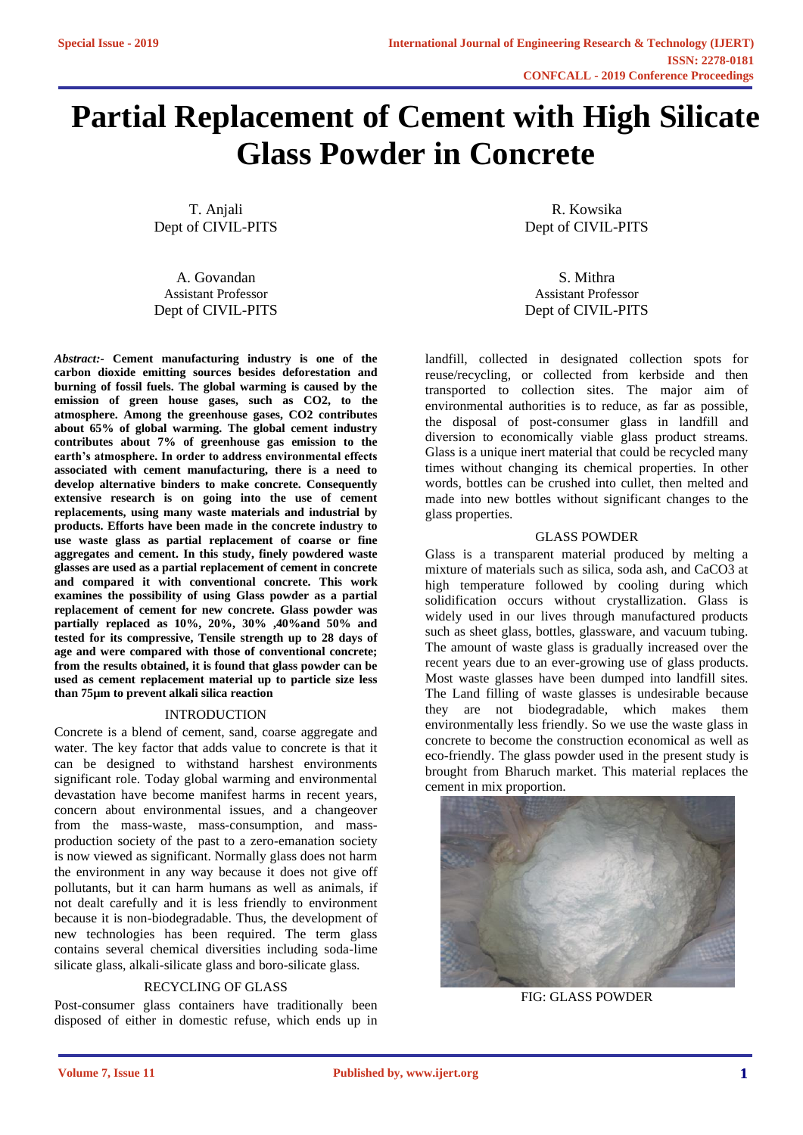# **Partial Replacement of Cement with High Silicate Glass Powder in Concrete**

T. Anjali Dept of CIVIL-PITS

A. Govandan Assistant Professor Dept of CIVIL-PITS

*Abstract:-* **Cement manufacturing industry is one of the carbon dioxide emitting sources besides deforestation and burning of fossil fuels. The global warming is caused by the emission of green house gases, such as CO2, to the atmosphere. Among the greenhouse gases, CO2 contributes about 65% of global warming. The global cement industry contributes about 7% of greenhouse gas emission to the earth's atmosphere. In order to address environmental effects associated with cement manufacturing, there is a need to develop alternative binders to make concrete. Consequently extensive research is on going into the use of cement replacements, using many waste materials and industrial by products. Efforts have been made in the concrete industry to use waste glass as partial replacement of coarse or fine aggregates and cement. In this study, finely powdered waste glasses are used as a partial replacement of cement in concrete and compared it with conventional concrete. This work examines the possibility of using Glass powder as a partial replacement of cement for new concrete. Glass powder was partially replaced as 10%, 20%, 30% ,40%and 50% and tested for its compressive, Tensile strength up to 28 days of age and were compared with those of conventional concrete; from the results obtained, it is found that glass powder can be used as cement replacement material up to particle size less than 75µm to prevent alkali silica reaction**

#### INTRODUCTION

Concrete is a blend of cement, sand, coarse aggregate and water. The key factor that adds value to concrete is that it can be designed to withstand harshest environments significant role. Today global warming and environmental devastation have become manifest harms in recent years, concern about environmental issues, and a changeover from the mass-waste, mass-consumption, and massproduction society of the past to a zero-emanation society is now viewed as significant. Normally glass does not harm the environment in any way because it does not give off pollutants, but it can harm humans as well as animals, if not dealt carefully and it is less friendly to environment because it is non-biodegradable. Thus, the development of new technologies has been required. The term glass contains several chemical diversities including soda-lime silicate glass, alkali-silicate glass and boro-silicate glass.

## RECYCLING OF GLASS

Post-consumer glass containers have traditionally been disposed of either in domestic refuse, which ends up in

R. Kowsika Dept of CIVIL-PITS

S. Mithra Assistant Professor Dept of CIVIL-PITS

landfill, collected in designated collection spots for reuse/recycling, or collected from kerbside and then transported to collection sites. The major aim of environmental authorities is to reduce, as far as possible, the disposal of post-consumer glass in landfill and diversion to economically viable glass product streams. Glass is a unique inert material that could be recycled many times without changing its chemical properties. In other words, bottles can be crushed into cullet, then melted and made into new bottles without significant changes to the glass properties.

### GLASS POWDER

Glass is a transparent material produced by melting a mixture of materials such as silica, soda ash, and CaCO3 at high temperature followed by cooling during which solidification occurs without crystallization. Glass is widely used in our lives through manufactured products such as sheet glass, bottles, glassware, and vacuum tubing. The amount of waste glass is gradually increased over the recent years due to an ever-growing use of glass products. Most waste glasses have been dumped into landfill sites. The Land filling of waste glasses is undesirable because they are not biodegradable, which makes them environmentally less friendly. So we use the waste glass in concrete to become the construction economical as well as eco-friendly. The glass powder used in the present study is brought from Bharuch market. This material replaces the cement in mix proportion.



FIG: GLASS POWDER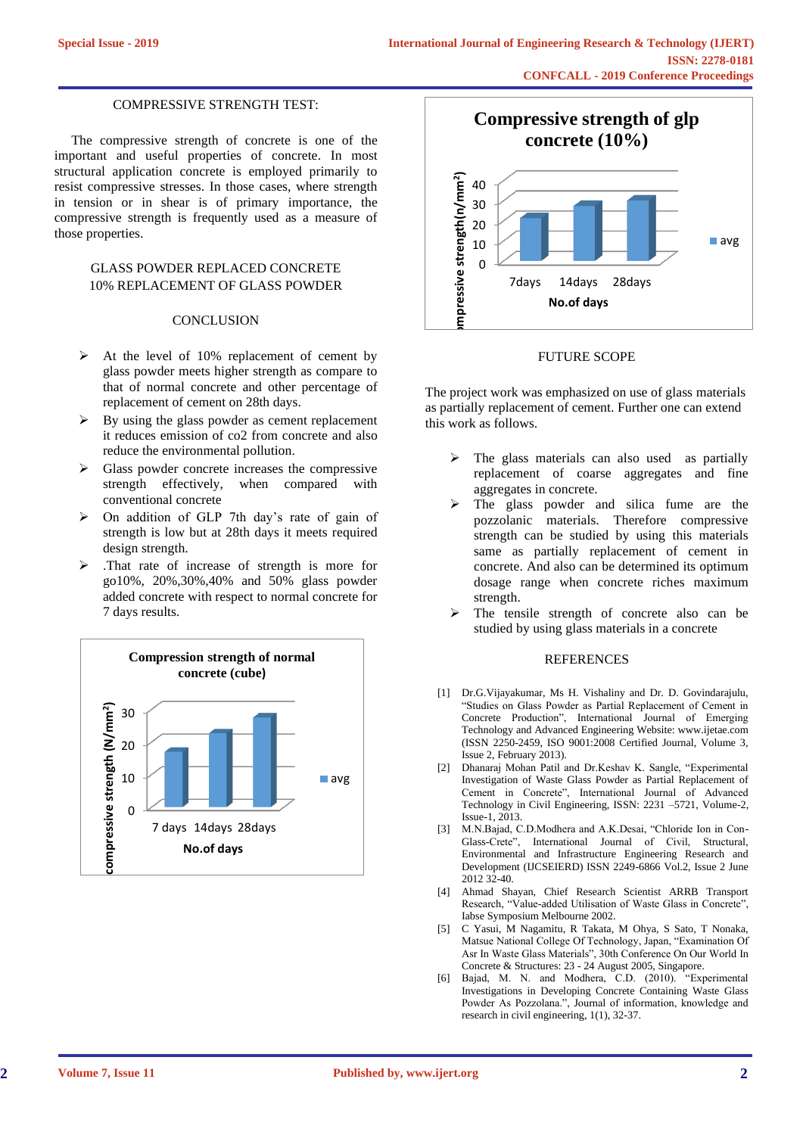#### COMPRESSIVE STRENGTH TEST:

 The compressive strength of concrete is one of the important and useful properties of concrete. In most structural application concrete is employed primarily to resist compressive stresses. In those cases, where strength in tension or in shear is of primary importance, the compressive strength is frequently used as a measure of those properties.

## GLASS POWDER REPLACED CONCRETE 10% REPLACEMENT OF GLASS POWDER

#### **CONCLUSION**

- $\triangleright$  At the level of 10% replacement of cement by glass powder meets higher strength as compare to that of normal concrete and other percentage of replacement of cement on 28th days.
- $\triangleright$  By using the glass powder as cement replacement it reduces emission of co2 from concrete and also reduce the environmental pollution.
- $\triangleright$  Glass powder concrete increases the compressive strength effectively, when compared with conventional concrete
- ➢ On addition of GLP 7th day's rate of gain of strength is low but at 28th days it meets required design strength.
- ➢ .That rate of increase of strength is more for go10%, 20%,30%,40% and 50% glass powder added concrete with respect to normal concrete for 7 days results.





#### FUTURE SCOPE

The project work was emphasized on use of glass materials as partially replacement of cement. Further one can extend this work as follows.

- $\triangleright$  The glass materials can also used as partially replacement of coarse aggregates and fine aggregates in concrete.
- The glass powder and silica fume are the pozzolanic materials. Therefore compressive strength can be studied by using this materials same as partially replacement of cement in concrete. And also can be determined its optimum dosage range when concrete riches maximum strength.
- The tensile strength of concrete also can be studied by using glass materials in a concrete

#### **REFERENCES**

- [1] Dr.G.Vijayakumar, Ms H. Vishaliny and Dr. D. Govindarajulu, "Studies on Glass Powder as Partial Replacement of Cement in Concrete Production", International Journal of Emerging Technology and Advanced Engineering Website: www.ijetae.com (ISSN 2250-2459, ISO 9001:2008 Certified Journal, Volume 3, Issue 2, February 2013).
- [2] Dhanaraj Mohan Patil and Dr.Keshav K. Sangle, "Experimental Investigation of Waste Glass Powder as Partial Replacement of Cement in Concrete", International Journal of Advanced Technology in Civil Engineering, ISSN: 2231 –5721, Volume-2, Issue-1, 2013.
- [3] M.N.Bajad, C.D.Modhera and A.K.Desai, "Chloride Ion in Con-Glass-Crete", International Journal of Civil, Structural, Environmental and Infrastructure Engineering Research and Development (IJCSEIERD) ISSN 2249-6866 Vol.2, Issue 2 June 2012 32-40.
- [4] Ahmad Shayan, Chief Research Scientist ARRB Transport Research, "Value-added Utilisation of Waste Glass in Concrete", Iabse Symposium Melbourne 2002.
- [5] C Yasui, M Nagamitu, R Takata, M Ohya, S Sato, T Nonaka, Matsue National College Of Technology, Japan, "Examination Of Asr In Waste Glass Materials", 30th Conference On Our World In Concrete & Structures: 23 - 24 August 2005, Singapore.
- [6] Bajad, M. N. and Modhera, C.D. (2010). "Experimental Investigations in Developing Concrete Containing Waste Glass Powder As Pozzolana.", Journal of information, knowledge and research in civil engineering, 1(1), 32-37.

**2**